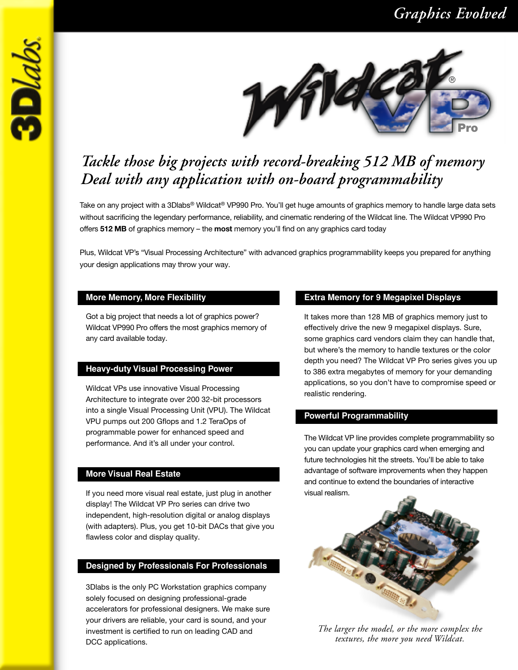

# *Tackle those big projects with record-breaking 512 MB of memory Deal with any application with on-board programmability*

Take on any project with a 3Dlabs® Wildcat® VP990 Pro. You'll get huge amounts of graphics memory to handle large data sets without sacrificing the legendary performance, reliability, and cinematic rendering of the Wildcat line. The Wildcat VP990 Pro offers **512 MB** of graphics memory – the **most** memory you'll find on any graphics card today

Plus, Wildcat VP's "Visual Processing Architecture" with advanced graphics programmability keeps you prepared for anything your design applications may throw your way.

 $3D/ds$ 

Got a big project that needs a lot of graphics power? Wildcat VP990 Pro offers the most graphics memory of any card available today.

#### **Heavy-duty Visual Processing Power**

Wildcat VPs use innovative Visual Processing Architecture to integrate over 200 32-bit processors into a single Visual Processing Unit (VPU). The Wildcat VPU pumps out 200 Gflops and 1.2 TeraOps of programmable power for enhanced speed and performance. And it's all under your control.

### **More Visual Real Estate**

If you need more visual real estate, just plug in another display! The Wildcat VP Pro series can drive two independent, high-resolution digital or analog displays (with adapters). Plus, you get 10-bit DACs that give you flawless color and display quality.

#### **Designed by Professionals For Professionals**

3Dlabs is the only PC Workstation graphics company solely focused on designing professional-grade accelerators for professional designers. We make sure your drivers are reliable, your card is sound, and your investment is certified to run on leading CAD and DCC applications.

# **More Memory, More Flexibility Extra Memory for 9 Megapixel Displays**

It takes more than 128 MB of graphics memory just to effectively drive the new 9 megapixel displays. Sure, some graphics card vendors claim they can handle that, but where's the memory to handle textures or the color depth you need? The Wildcat VP Pro series gives you up to 386 extra megabytes of memory for your demanding applications, so you don't have to compromise speed or realistic rendering.

### **Powerful Programmability**

The Wildcat VP line provides complete programmability so you can update your graphics card when emerging and future technologies hit the streets. You'll be able to take advantage of software improvements when they happen and continue to extend the boundaries of interactive visual realism.



*The larger the model, or the more complex the textures, the more you need Wildcat.*